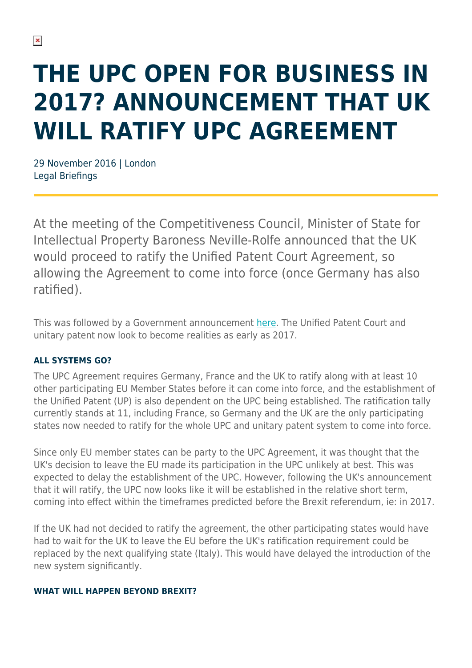# **THE UPC OPEN FOR BUSINESS IN 2017? ANNOUNCEMENT THAT UK WILL RATIFY UPC AGREEMENT**

29 November 2016 | London Legal Briefings

At the meeting of the Competitiveness Council, Minister of State for Intellectual Property Baroness Neville-Rolfe announced that the UK would proceed to ratify the Unified Patent Court Agreement, so allowing the Agreement to come into force (once Germany has also ratified).

This was followed by a Government announcement [here](https://www.gov.uk/government/news/uk-signals-green-light-to-unified-patent-court-agreement#_blank). The Unified Patent Court and unitary patent now look to become realities as early as 2017.

#### **ALL SYSTEMS GO?**

The UPC Agreement requires Germany, France and the UK to ratify along with at least 10 other participating EU Member States before it can come into force, and the establishment of the Unified Patent (UP) is also dependent on the UPC being established. The ratification tally currently stands at 11, including France, so Germany and the UK are the only participating states now needed to ratify for the whole UPC and unitary patent system to come into force.

Since only EU member states can be party to the UPC Agreement, it was thought that the UK's decision to leave the EU made its participation in the UPC unlikely at best. This was expected to delay the establishment of the UPC. However, following the UK's announcement that it will ratify, the UPC now looks like it will be established in the relative short term, coming into effect within the timeframes predicted before the Brexit referendum, ie: in 2017.

If the UK had not decided to ratify the agreement, the other participating states would have had to wait for the UK to leave the EU before the UK's ratification requirement could be replaced by the next qualifying state (Italy). This would have delayed the introduction of the new system significantly.

#### **WHAT WILL HAPPEN BEYOND BREXIT?**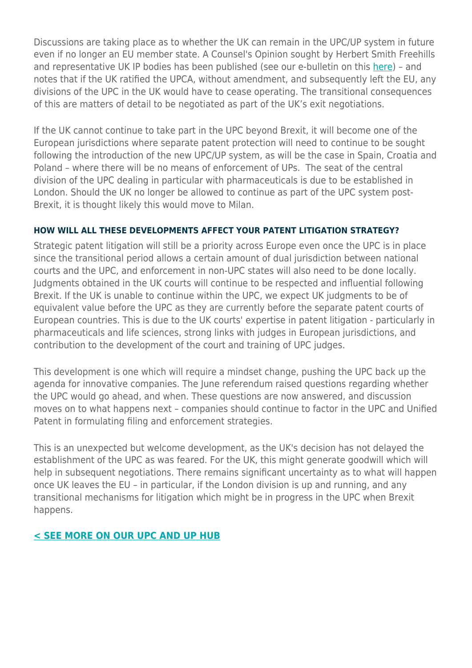Discussions are taking place as to whether the UK can remain in the UPC/UP system in future even if no longer an EU member state. A Counsel's Opinion sought by Herbert Smith Freehills and representative UK IP bodies has been published (see our e-bulletin on this [here](https://www.herbertsmithfreehills.com/latest-thinking/counsels-opinion-sought-by-uk-ip-groups-in-relation-to-the-upc-and-brexit)) – and notes that if the UK ratified the UPCA, without amendment, and subsequently left the EU, any divisions of the UPC in the UK would have to cease operating. The transitional consequences of this are matters of detail to be negotiated as part of the UK's exit negotiations.

If the UK cannot continue to take part in the UPC beyond Brexit, it will become one of the European jurisdictions where separate patent protection will need to continue to be sought following the introduction of the new UPC/UP system, as will be the case in Spain, Croatia and Poland – where there will be no means of enforcement of UPs. The seat of the central division of the UPC dealing in particular with pharmaceuticals is due to be established in London. Should the UK no longer be allowed to continue as part of the UPC system post-Brexit, it is thought likely this would move to Milan.

#### **HOW WILL ALL THESE DEVELOPMENTS AFFECT YOUR PATENT LITIGATION STRATEGY?**

Strategic patent litigation will still be a priority across Europe even once the UPC is in place since the transitional period allows a certain amount of dual jurisdiction between national courts and the UPC, and enforcement in non-UPC states will also need to be done locally. Judgments obtained in the UK courts will continue to be respected and influential following Brexit. If the UK is unable to continue within the UPC, we expect UK judgments to be of equivalent value before the UPC as they are currently before the separate patent courts of European countries. This is due to the UK courts' expertise in patent litigation - particularly in pharmaceuticals and life sciences, strong links with judges in European jurisdictions, and contribution to the development of the court and training of UPC judges.

This development is one which will require a mindset change, pushing the UPC back up the agenda for innovative companies. The June referendum raised questions regarding whether the UPC would go ahead, and when. These questions are now answered, and discussion moves on to what happens next – companies should continue to factor in the UPC and Unified Patent in formulating filing and enforcement strategies.

This is an unexpected but welcome development, as the UK's decision has not delayed the establishment of the UPC as was feared. For the UK, this might generate goodwill which will help in subsequent negotiations. There remains significant uncertainty as to what will happen once UK leaves the EU – in particular, if the London division is up and running, and any transitional mechanisms for litigation which might be in progress in the UPC when Brexit happens.

#### **[< SEE MORE ON OUR UPC AND UP HUB](https://www.herbertsmithfreehills.com/upc)**